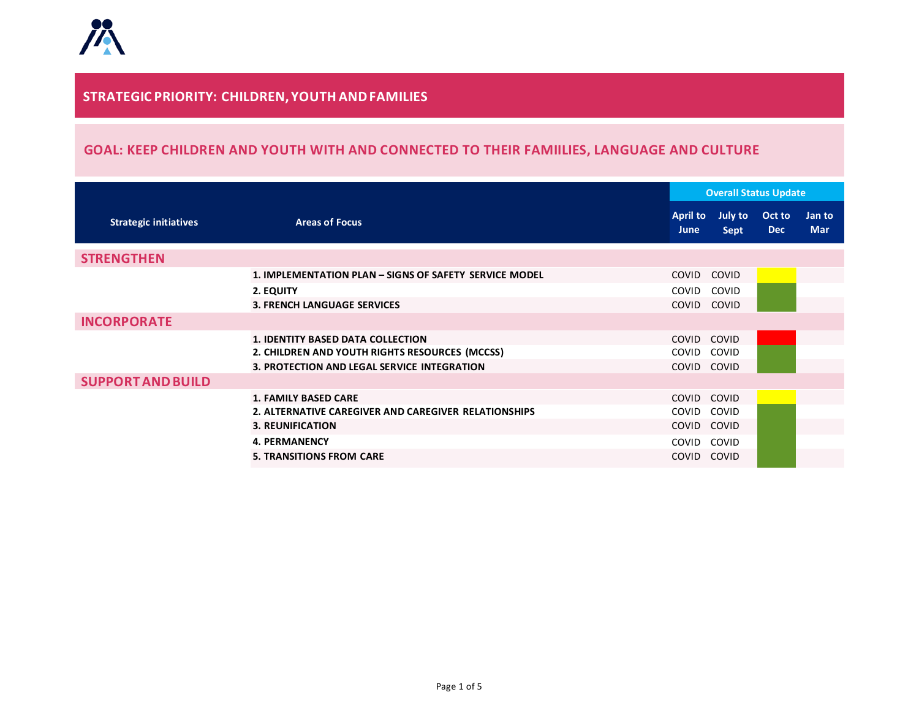#### **STRATEGIC PRIORITY: CHILDREN, YOUTH ANDFAMILIES**

## **GOAL: KEEP CHILDREN AND YOUTH WITH AND CONNECTED TO THEIR FAMIILIES, LANGUAGE AND CULTURE**

|                              |                                                        |                                | <b>Overall Status Update</b> |                      |                      |  |
|------------------------------|--------------------------------------------------------|--------------------------------|------------------------------|----------------------|----------------------|--|
| <b>Strategic initiatives</b> | <b>Areas of Focus</b>                                  | <b>April to</b><br><b>June</b> | July to<br>Sept              | Oct to<br><b>Dec</b> | Jan to<br><b>Mar</b> |  |
| <b>STRENGTHEN</b>            |                                                        |                                |                              |                      |                      |  |
|                              | 1. IMPLEMENTATION PLAN - SIGNS OF SAFETY SERVICE MODEL | <b>COVID</b>                   | COVID                        |                      |                      |  |
|                              | 2. EQUITY                                              | COVID                          | COVID                        |                      |                      |  |
|                              | <b>3. FRENCH LANGUAGE SERVICES</b>                     | COVID                          | COVID                        |                      |                      |  |
| <b>INCORPORATE</b>           |                                                        |                                |                              |                      |                      |  |
|                              | <b>1. IDENTITY BASED DATA COLLECTION</b>               | COVID                          | COVID                        |                      |                      |  |
|                              | 2. CHILDREN AND YOUTH RIGHTS RESOURCES (MCCSS)         | COVID                          | <b>COVID</b>                 |                      |                      |  |
|                              | 3. PROTECTION AND LEGAL SERVICE INTEGRATION            | COVID                          | COVID                        |                      |                      |  |
| <b>SUPPORT AND BUILD</b>     |                                                        |                                |                              |                      |                      |  |
|                              | <b>1. FAMILY BASED CARE</b>                            | COVID                          | COVID                        |                      |                      |  |
|                              | 2. ALTERNATIVE CAREGIVER AND CAREGIVER RELATIONSHIPS   | COVID                          | <b>COVID</b>                 |                      |                      |  |
|                              | <b>3. REUNIFICATION</b>                                | COVID                          | COVID                        |                      |                      |  |
|                              | <b>4. PERMANENCY</b>                                   | COVID                          | COVID                        |                      |                      |  |
|                              | <b>5. TRANSITIONS FROM CARE</b>                        | <b>COVID</b>                   | <b>COVID</b>                 |                      |                      |  |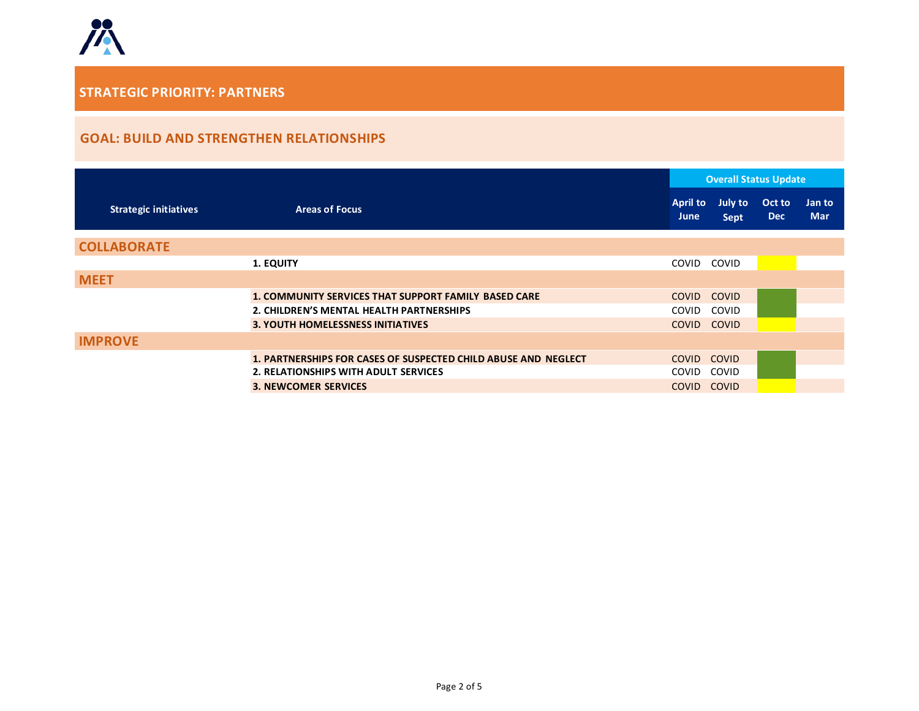

## **GOAL: BUILD AND STRENGTHEN RELATIONSHIPS**

|                              |                                                                | <b>Overall Status Update</b> |                 |                      |                      |
|------------------------------|----------------------------------------------------------------|------------------------------|-----------------|----------------------|----------------------|
| <b>Strategic initiatives</b> | <b>Areas of Focus</b>                                          | <b>April to</b><br>June      | July to<br>Sept | Oct to<br><b>Dec</b> | Jan to<br><b>Mar</b> |
| <b>COLLABORATE</b>           |                                                                |                              |                 |                      |                      |
|                              | <b>1. EQUITY</b>                                               | COVID                        | COVID           |                      |                      |
| <b>MEET</b>                  |                                                                |                              |                 |                      |                      |
|                              | <b>1. COMMUNITY SERVICES THAT SUPPORT FAMILY BASED CARE</b>    | <b>COVID</b>                 | <b>COVID</b>    |                      |                      |
|                              | 2. CHILDREN'S MENTAL HEALTH PARTNERSHIPS                       | <b>COVID</b>                 | <b>COVID</b>    |                      |                      |
|                              | <b>3. YOUTH HOMELESSNESS INITIATIVES</b>                       | <b>COVID</b>                 | <b>COVID</b>    |                      |                      |
| <b>IMPROVE</b>               |                                                                |                              |                 |                      |                      |
|                              | 1. PARTNERSHIPS FOR CASES OF SUSPECTED CHILD ABUSE AND NEGLECT | <b>COVID</b>                 | <b>COVID</b>    |                      |                      |
|                              | 2. RELATIONSHIPS WITH ADULT SERVICES                           | <b>COVID</b>                 | <b>COVID</b>    |                      |                      |
|                              | <b>3. NEWCOMER SERVICES</b>                                    | <b>COVID</b>                 | <b>COVID</b>    |                      |                      |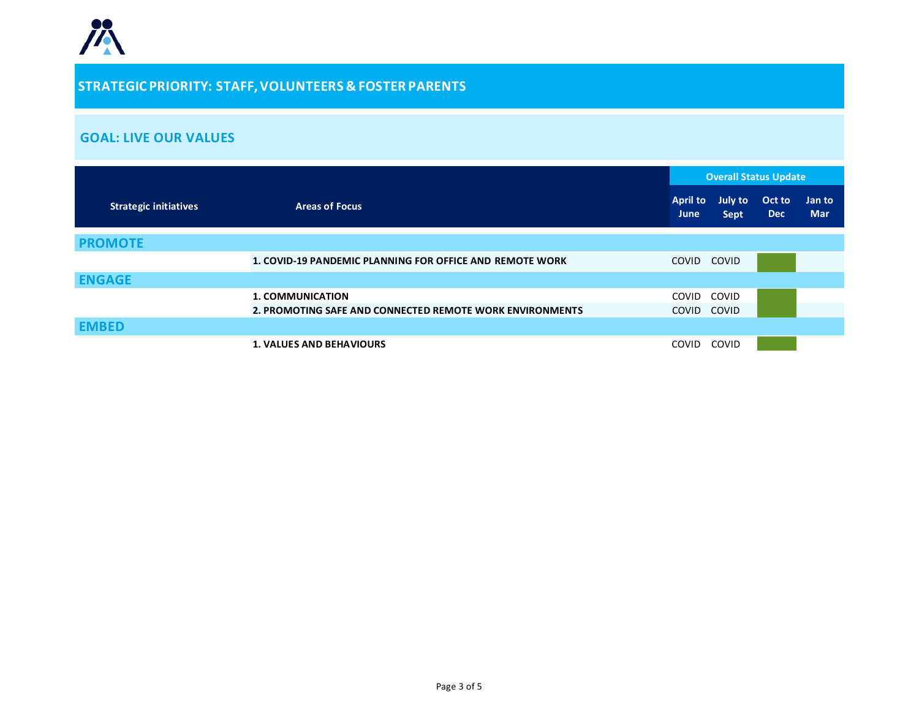# **STRATEGIC PRIORITY: STAFF,VOLUNTEERS & FOSTER PARENTS**

#### **GOAL: LIVE OUR VALUES**

|                              |                                                                 | <b>Overall Status Update</b>   |                               |                      |                      |
|------------------------------|-----------------------------------------------------------------|--------------------------------|-------------------------------|----------------------|----------------------|
| <b>Strategic initiatives</b> | <b>Areas of Focus</b>                                           | <b>April to</b><br><b>June</b> | <b>July to</b><br><b>Sept</b> | Oct to<br><b>Dec</b> | Jan to<br><b>Mar</b> |
| <b>PROMOTE</b>               |                                                                 |                                |                               |                      |                      |
|                              | <b>1. COVID-19 PANDEMIC PLANNING FOR OFFICE AND REMOTE WORK</b> | COVID                          | <b>COVID</b>                  |                      |                      |
| <b>ENGAGE</b>                |                                                                 |                                |                               |                      |                      |
|                              | <b>1. COMMUNICATION</b>                                         | COVID                          | COVID                         |                      |                      |
|                              | 2. PROMOTING SAFE AND CONNECTED REMOTE WORK ENVIRONMENTS        | COVID                          | COVID                         |                      |                      |
| <b>EMBED</b>                 |                                                                 |                                |                               |                      |                      |
|                              | <b>1. VALUES AND BEHAVIOURS</b>                                 | <b>COVID</b>                   | <b>COVID</b>                  |                      |                      |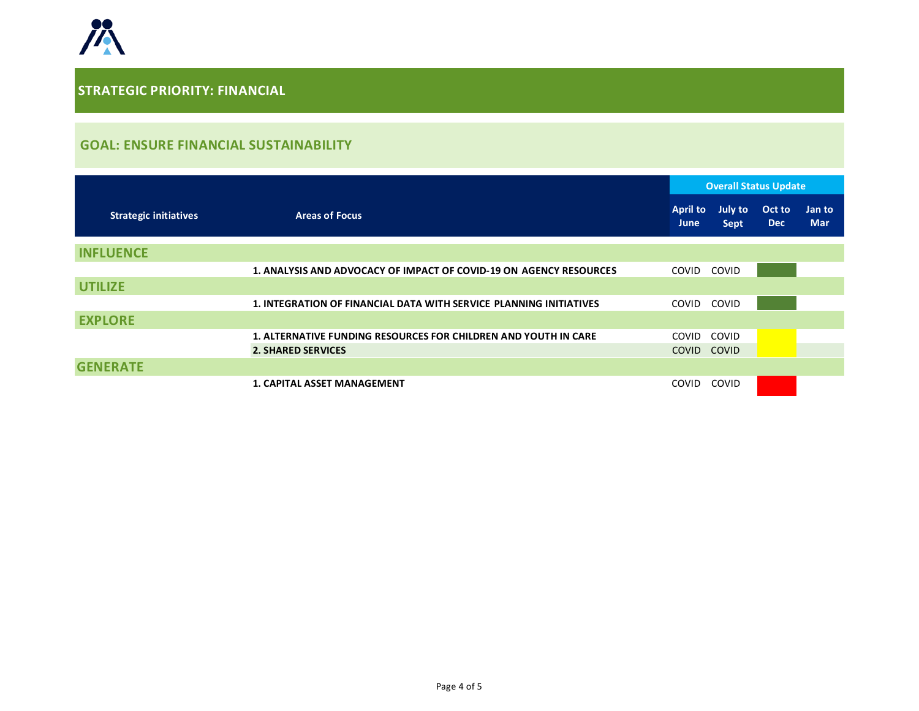

### **GOAL: ENSURE FINANCIAL SUSTAINABILITY**

|                              |                                                                        | <b>Overall Status Update</b>   |                               |                      |                      |
|------------------------------|------------------------------------------------------------------------|--------------------------------|-------------------------------|----------------------|----------------------|
| <b>Strategic initiatives</b> | <b>Areas of Focus</b>                                                  | <b>April to</b><br><b>June</b> | <b>July to</b><br><b>Sept</b> | Oct to<br><b>Dec</b> | Jan to<br><b>Mar</b> |
| <b>INFLUENCE</b>             |                                                                        |                                |                               |                      |                      |
|                              | 1. ANALYSIS AND ADVOCACY OF IMPACT OF COVID-19 ON AGENCY RESOURCES     | COVID                          | <b>COVID</b>                  |                      |                      |
| <b>UTILIZE</b>               |                                                                        |                                |                               |                      |                      |
|                              | 1. INTEGRATION OF FINANCIAL DATA WITH SERVICE PLANNING INITIATIVES     | COVID                          | COVID                         |                      |                      |
| <b>EXPLORE</b>               |                                                                        |                                |                               |                      |                      |
|                              | <b>1. ALTERNATIVE FUNDING RESOURCES FOR CHILDREN AND YOUTH IN CARE</b> | COVID                          | <b>COVID</b>                  |                      |                      |
|                              | <b>2. SHARED SERVICES</b>                                              | <b>COVID</b>                   | <b>COVID</b>                  |                      |                      |
| <b>GENERATE</b>              |                                                                        |                                |                               |                      |                      |
|                              | <b>1. CAPITAL ASSET MANAGEMENT</b>                                     | <b>COVID</b>                   | COVID                         |                      |                      |